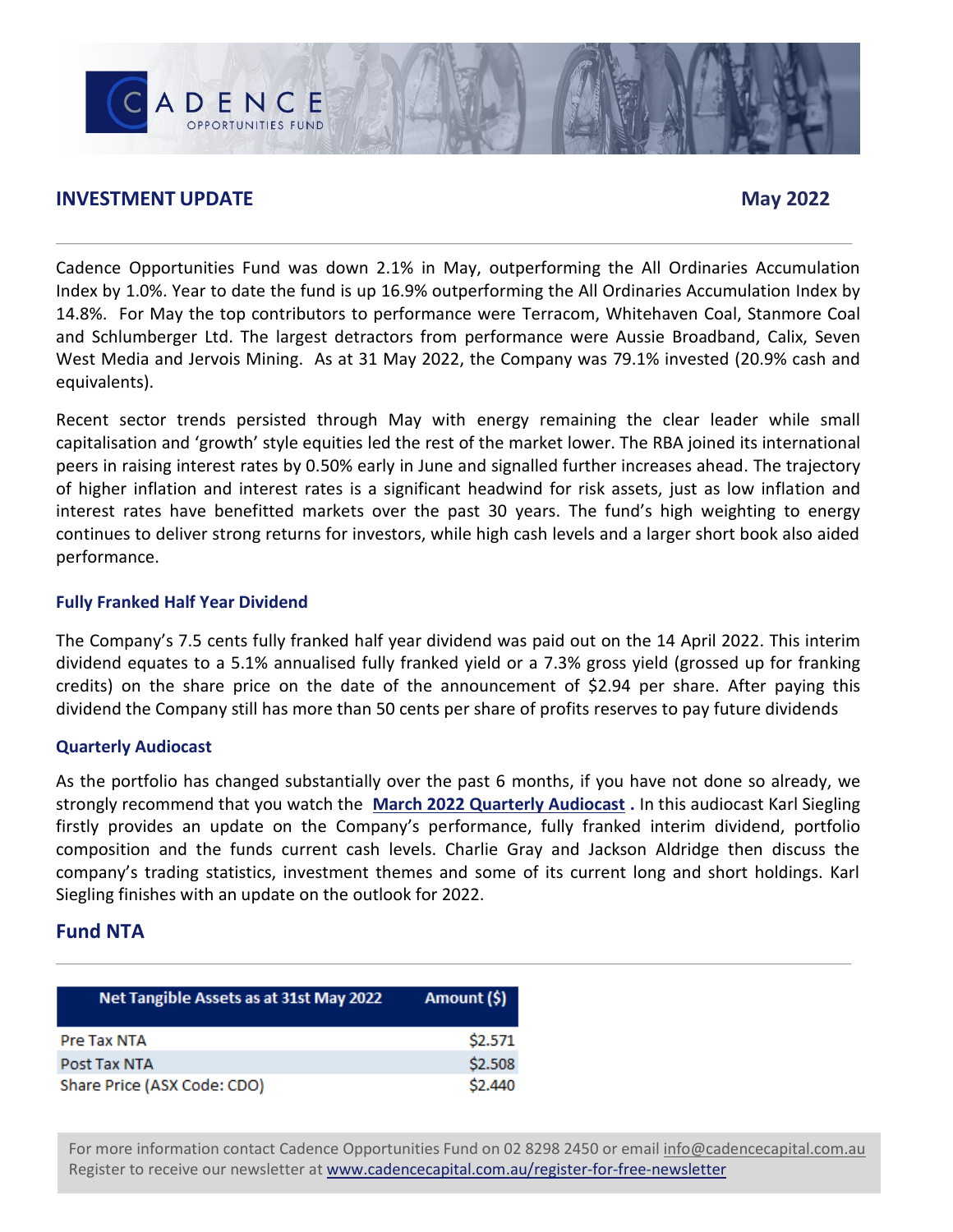### **INVESTMENT UPDATE** May 2022

ADENCE

Cadence Opportunities Fund was down 2.1% in May, outperforming the All Ordinaries Accumulation Index by 1.0%. Year to date the fund is up 16.9% outperforming the All Ordinaries Accumulation Index by 14.8%. For May the top contributors to performance were Terracom, Whitehaven Coal, Stanmore Coal and Schlumberger Ltd. The largest detractors from performance were Aussie Broadband, Calix, Seven West Media and Jervois Mining. As at 31 May 2022, the Company was 79.1% invested (20.9% cash and equivalents).

Recent sector trends persisted through May with energy remaining the clear leader while small capitalisation and 'growth' style equities led the rest of the market lower. The RBA joined its international peers in raising interest rates by 0.50% early in June and signalled further increases ahead. The trajectory of higher inflation and interest rates is a significant headwind for risk assets, just as low inflation and interest rates have benefitted markets over the past 30 years. The fund's high weighting to energy continues to deliver strong returns for investors, while high cash levels and a larger short book also aided performance.

### **Fully Franked Half Year Dividend**

The Company's 7.5 cents fully franked half year dividend was paid out on the 14 April 2022. This interim dividend equates to a 5.1% annualised fully franked yield or a 7.3% gross yield (grossed up for franking credits) on the share price on the date of the announcement of \$2.94 per share. After paying this dividend the Company still has more than 50 cents per share of profits reserves to pay future dividends

### **Quarterly Audiocast**

As the portfolio has changed substantially over the past 6 months, if you have not done so already, we strongly recommend that you watch the **[March 2022 Quarterly Audiocast](https://www.cadencecapital.com.au/cdo-mar-2022-webcast/) .** In this audiocast Karl Siegling firstly provides an update on the Company's performance, fully franked interim dividend, portfolio composition and the funds current cash levels. Charlie Gray and Jackson Aldridge then discuss the company's trading statistics, investment themes and some of its current long and short holdings. Karl Siegling finishes with an update on the outlook for 2022.

### **Fund NTA**

| Net Tangible Assets as at 31st May 2022 | Amount (\$) |
|-----------------------------------------|-------------|
| Pre Tax NTA                             | \$2.571     |
| Post Tax NTA                            | \$2.508     |
| Share Price (ASX Code: CDO)             | \$2,440     |

For more information contact Cadence Opportunities Fund on 02 8298 2450 or email [info@cadencecapital.com.au](mailto:info@cadencecapital.com.au) Register to receive our newsletter at [www.cadencecapital.com.au/register-for-free-newsletter](http://www.cadencecapital.com.au/register-for-free-newsletter)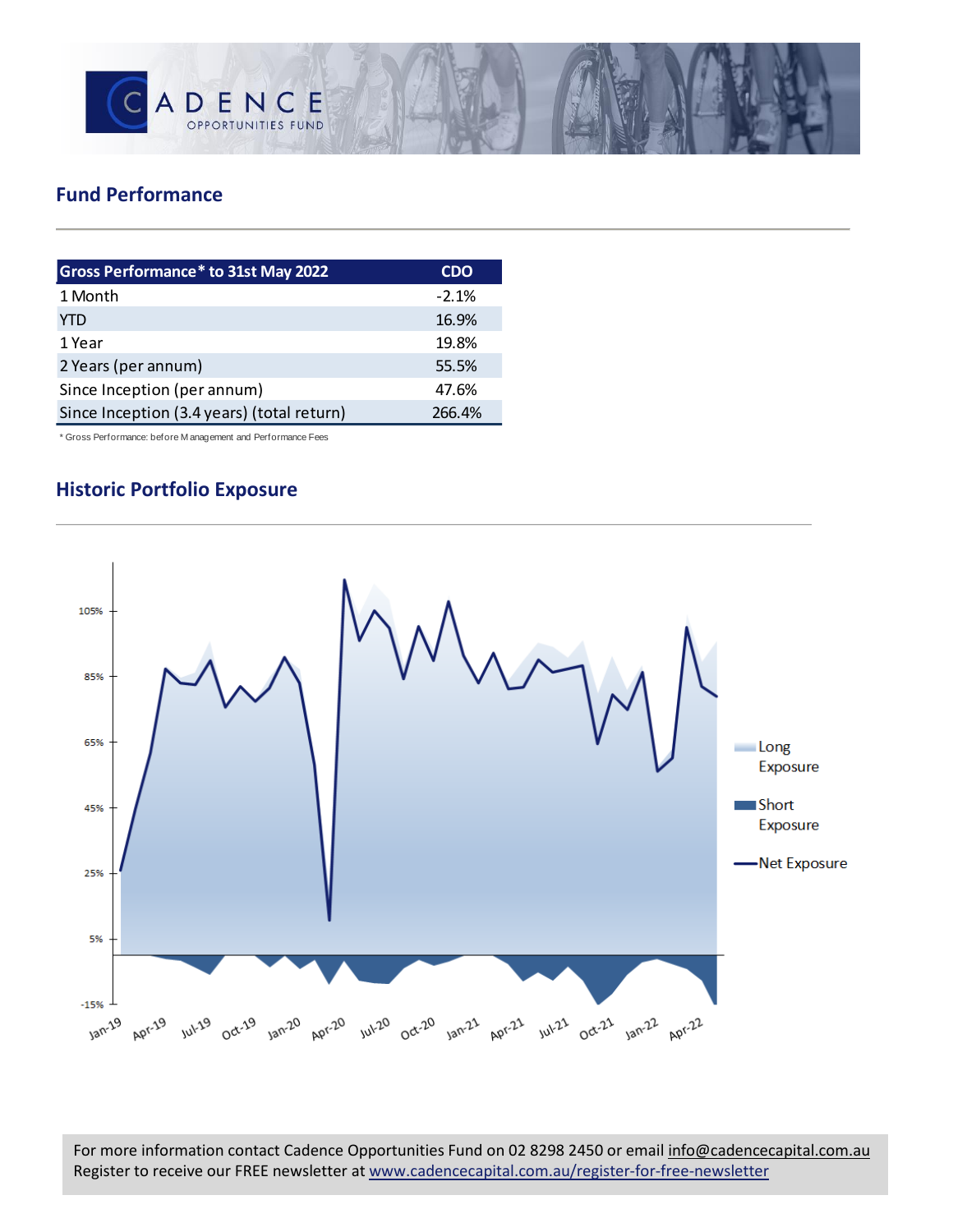

## **Fund Performance**

| <b>Gross Performance* to 31st May 2022</b> | <b>CDO</b> |
|--------------------------------------------|------------|
| 1 Month                                    | $-2.1%$    |
| YTD                                        | 16.9%      |
| 1 Year                                     | 19.8%      |
| 2 Years (per annum)                        | 55.5%      |
| Since Inception (per annum)                | 47.6%      |
| Since Inception (3.4 years) (total return) | 266.4%     |

\* Gross Performance: before M anagement and Performance Fees

## **Historic Portfolio Exposure**



For more information contact Cadence Opportunities Fund on 02 8298 2450 or email [info@cadencecapital.com.au](mailto:info@cadencecapital.com.au) Register to receive our FREE newsletter at [www.cadencecapital.com.au/register-for-free-newsletter](http://www.cadencecapital.com.au/register-for-free-newsletter)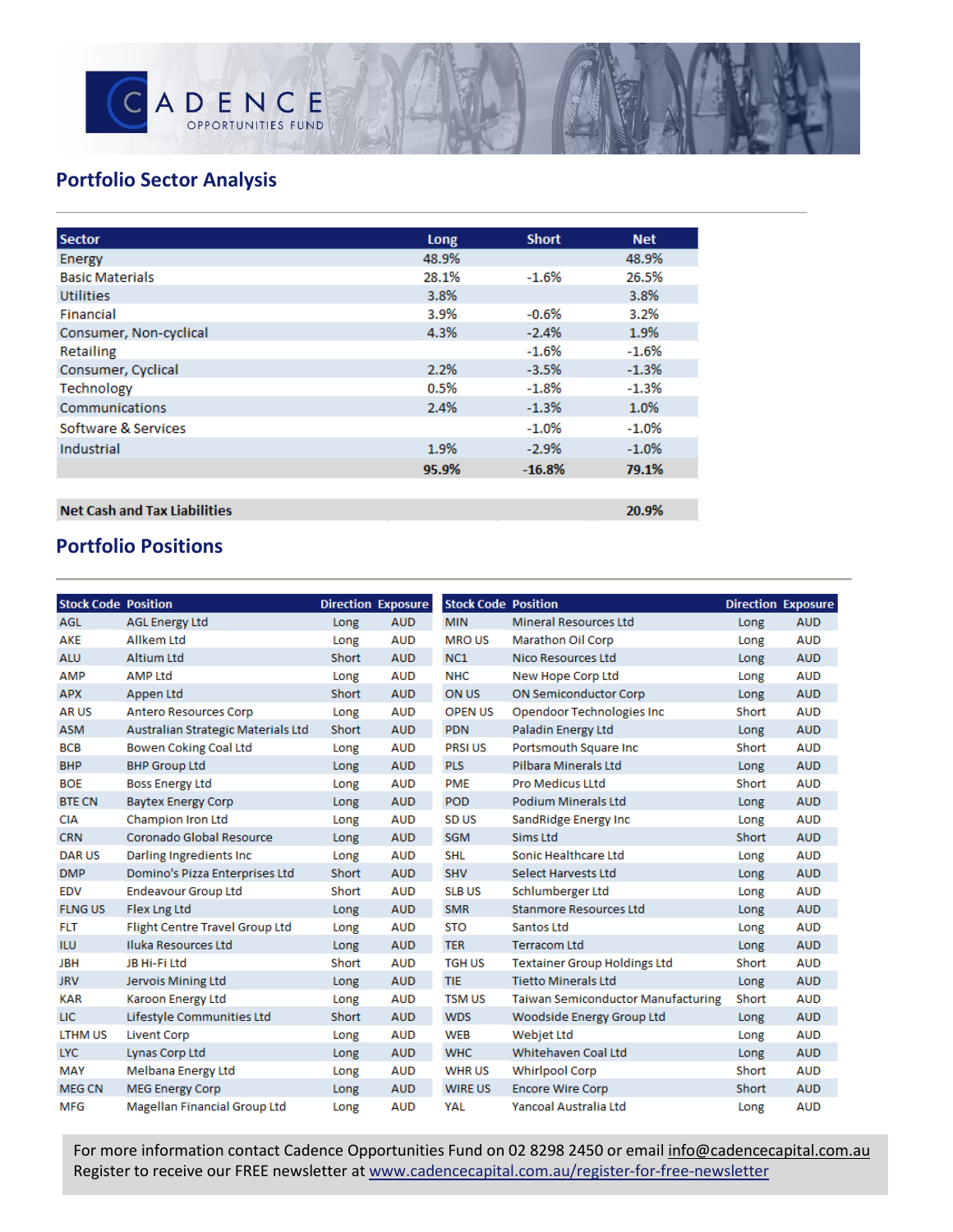

20.9%

# **Portfolio Sector Analysis**

| <b>Sector</b>          | Long  | <b>Short</b> | <b>Net</b> |
|------------------------|-------|--------------|------------|
| Energy                 | 48.9% |              | 48.9%      |
| <b>Basic Materials</b> | 28.1% | $-1.6%$      | 26.5%      |
| <b>Utilities</b>       | 3.8%  |              | 3.8%       |
| Financial              | 3.9%  | $-0.6%$      | 3.2%       |
| Consumer, Non-cyclical | 4.3%  | $-2.4%$      | 1.9%       |
| <b>Retailing</b>       |       | $-1.6%$      | $-1.6%$    |
| Consumer, Cyclical     | 2.2%  | $-3.5%$      | $-1.3%$    |
| Technology             | 0.5%  | $-1.8%$      | $-1.3%$    |
| Communications         | 2.4%  | $-1.3%$      | 1.0%       |
| Software & Services    |       | $-1.0%$      | $-1.0%$    |
| Industrial             | 1.9%  | $-2.9%$      | $-1.0%$    |
|                        | 95.9% | $-16.8%$     | 79.1%      |
|                        |       |              |            |

### **Net Cash and Tax Liabilities**

## **Portfolio Positions**

| <b>Stock Code Position</b> |                                    |       | <b>Direction Exposure</b> | <b>Stock Code Position</b> |                                           | <b>Direction Exposure</b> |
|----------------------------|------------------------------------|-------|---------------------------|----------------------------|-------------------------------------------|---------------------------|
| AGL                        | <b>AGL Energy Ltd</b>              | Long  | <b>AUD</b>                | <b>MIN</b>                 | <b>Mineral Resources Ltd</b>              | Long                      |
| AKE                        | <b>Allkem Ltd</b>                  | Long  | <b>AUD</b>                | <b>MROUS</b>               | <b>Marathon Oil Corp</b>                  | Long                      |
| <b>ALU</b>                 | <b>Altium Ltd</b>                  | Short | <b>AUD</b>                | NC1                        | Nico Resources Ltd                        | Long                      |
| AMP                        | <b>AMP Ltd</b>                     | Long  | <b>AUD</b>                | <b>NHC</b>                 | New Hope Corp Ltd                         | Long                      |
| <b>APX</b>                 | Appen Ltd                          | Short | <b>AUD</b>                | ON US                      | <b>ON Semiconductor Corp</b>              | Long                      |
| <b>ARUS</b>                | <b>Antero Resources Corp</b>       | Long  | <b>AUD</b>                | <b>OPEN US</b>             | Opendoor Technologies Inc                 | Short                     |
| <b>ASM</b>                 | Australian Strategic Materials Ltd | Short | <b>AUD</b>                | <b>PDN</b>                 | Paladin Energy Ltd                        | Long                      |
| <b>BCB</b>                 | Bowen Coking Coal Ltd              | Long  | <b>AUD</b>                | <b>PRSI US</b>             | Portsmouth Square Inc                     | Short                     |
| <b>BHP</b>                 | <b>BHP Group Ltd</b>               | Long  | <b>AUD</b>                | <b>PLS</b>                 | Pilbara Minerals Ltd                      | Long                      |
| <b>BOE</b>                 | <b>Boss Energy Ltd</b>             | Long  | <b>AUD</b>                | <b>PME</b>                 | <b>Pro Medicus LLtd</b>                   | Short                     |
| <b>BTE CN</b>              | <b>Baytex Energy Corp</b>          | Long  | <b>AUD</b>                | <b>POD</b>                 | <b>Podium Minerals Ltd</b>                | Long                      |
| <b>CIA</b>                 | <b>Champion Iron Ltd</b>           | Long  | <b>AUD</b>                | SD <sub>US</sub>           | SandRidge Energy Inc                      | Long                      |
| <b>CRN</b>                 | Coronado Global Resource           | Long  | <b>AUD</b>                | <b>SGM</b>                 | Sims Ltd                                  | Short                     |
| <b>DARUS</b>               | Darling Ingredients Inc            | Long  | <b>AUD</b>                | <b>SHL</b>                 | Sonic Healthcare Ltd                      | Long                      |
| <b>DMP</b>                 | Domino's Pizza Enterprises Ltd     | Short | <b>AUD</b>                | <b>SHV</b>                 | Select Harvests Ltd                       | Long                      |
| <b>EDV</b>                 | <b>Endeavour Group Ltd</b>         | Short | <b>AUD</b>                | <b>SLB US</b>              | Schlumberger Ltd                          | Long                      |
| <b>FLNG US</b>             | Flex Lng Ltd                       | Long  | <b>AUD</b>                | <b>SMR</b>                 | <b>Stanmore Resources Ltd</b>             | Long                      |
| <b>FLT</b>                 | Flight Centre Travel Group Ltd     | Long  | <b>AUD</b>                | <b>STO</b>                 | Santos Ltd                                | Long                      |
| <b>ILU</b>                 | <b>Iluka Resources Ltd</b>         | Long  | <b>AUD</b>                | <b>TER</b>                 | <b>Terracom Ltd</b>                       | Long                      |
| <b>JBH</b>                 | JB Hi-Fi Ltd                       | Short | <b>AUD</b>                | <b>TGH US</b>              | <b>Textainer Group Holdings Ltd</b>       | Short                     |
| <b>JRV</b>                 | Jervois Mining Ltd                 | Long  | <b>AUD</b>                | <b>TIE</b>                 | <b>Tietto Minerals Ltd</b>                | Long                      |
| <b>KAR</b>                 | Karoon Energy Ltd                  | Long  | <b>AUD</b>                | <b>TSM US</b>              | <b>Taiwan Semiconductor Manufacturing</b> | Short                     |
| <b>LIC</b>                 | Lifestyle Communities Ltd          | Short | <b>AUD</b>                | <b>WDS</b>                 | Woodside Energy Group Ltd                 | Long                      |
| <b>LTHM US</b>             | <b>Livent Corp</b>                 | Long  | <b>AUD</b>                | <b>WEB</b>                 | Webjet Ltd                                | Long                      |
| <b>LYC</b>                 | Lynas Corp Ltd                     | Long  | <b>AUD</b>                | <b>WHC</b>                 | Whitehaven Coal Ltd                       | Long                      |
| <b>MAY</b>                 | Melbana Energy Ltd                 | Long  | <b>AUD</b>                | <b>WHRUS</b>               | <b>Whirlpool Corp</b>                     | Short                     |
| <b>MEG CN</b>              | <b>MEG Energy Corp</b>             | Long  | <b>AUD</b>                | <b>WIRE US</b>             | <b>Encore Wire Corp</b>                   | Short                     |
| MFG                        | Magellan Financial Group Ltd       | Long  | <b>AUD</b>                | YAL                        | Yancoal Australia Ltd                     | Long                      |
|                            |                                    |       |                           |                            |                                           |                           |

For more information contact Cadence Opportunities Fund on 02 8298 2450 or email [info@cadencecapital.com.au](mailto:info@cadencecapital.com.au) Register to receive our FREE newsletter at [www.cadencecapital.com.au/register-for-free-newsletter](http://www.cadencecapital.com.au/register-for-free-newsletter)